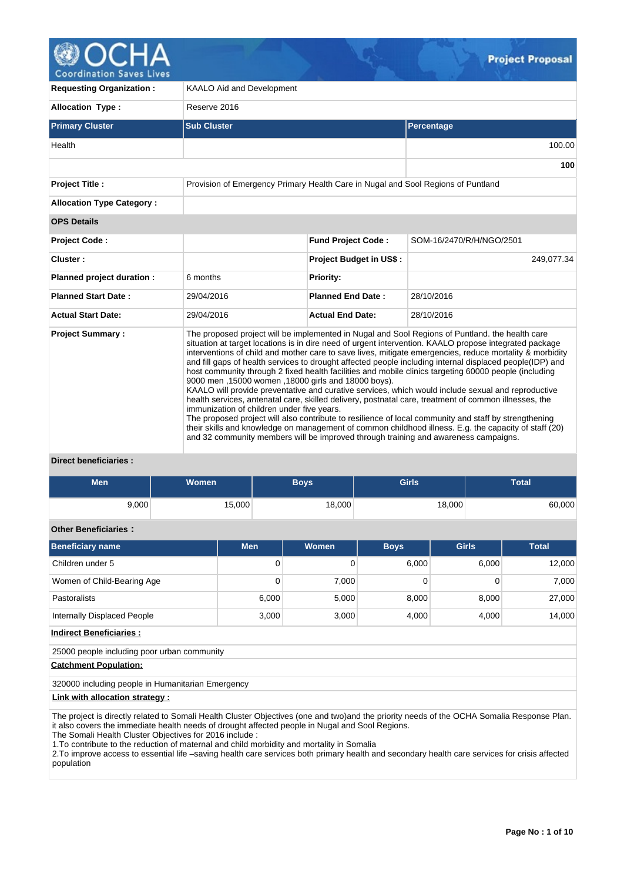

pordination Saves |

| <b>Requesting Organization:</b>  | <b>KAALO Aid and Development</b>                                                                  |                                                                                                                                                                                                                                                                                                                                                                                                                                                                                                                                                                                                                                                                                                                                                                                                                                                                                                                                                                                                                                                                    |                          |  |  |  |  |  |  |
|----------------------------------|---------------------------------------------------------------------------------------------------|--------------------------------------------------------------------------------------------------------------------------------------------------------------------------------------------------------------------------------------------------------------------------------------------------------------------------------------------------------------------------------------------------------------------------------------------------------------------------------------------------------------------------------------------------------------------------------------------------------------------------------------------------------------------------------------------------------------------------------------------------------------------------------------------------------------------------------------------------------------------------------------------------------------------------------------------------------------------------------------------------------------------------------------------------------------------|--------------------------|--|--|--|--|--|--|
| <b>Allocation Type:</b>          | Reserve 2016                                                                                      |                                                                                                                                                                                                                                                                                                                                                                                                                                                                                                                                                                                                                                                                                                                                                                                                                                                                                                                                                                                                                                                                    |                          |  |  |  |  |  |  |
| <b>Primary Cluster</b>           | <b>Sub Cluster</b>                                                                                |                                                                                                                                                                                                                                                                                                                                                                                                                                                                                                                                                                                                                                                                                                                                                                                                                                                                                                                                                                                                                                                                    | Percentage               |  |  |  |  |  |  |
| Health                           |                                                                                                   |                                                                                                                                                                                                                                                                                                                                                                                                                                                                                                                                                                                                                                                                                                                                                                                                                                                                                                                                                                                                                                                                    | 100.00                   |  |  |  |  |  |  |
|                                  |                                                                                                   |                                                                                                                                                                                                                                                                                                                                                                                                                                                                                                                                                                                                                                                                                                                                                                                                                                                                                                                                                                                                                                                                    | 100                      |  |  |  |  |  |  |
| <b>Project Title:</b>            | Provision of Emergency Primary Health Care in Nugal and Sool Regions of Puntland                  |                                                                                                                                                                                                                                                                                                                                                                                                                                                                                                                                                                                                                                                                                                                                                                                                                                                                                                                                                                                                                                                                    |                          |  |  |  |  |  |  |
| <b>Allocation Type Category:</b> |                                                                                                   |                                                                                                                                                                                                                                                                                                                                                                                                                                                                                                                                                                                                                                                                                                                                                                                                                                                                                                                                                                                                                                                                    |                          |  |  |  |  |  |  |
| <b>OPS Details</b>               |                                                                                                   |                                                                                                                                                                                                                                                                                                                                                                                                                                                                                                                                                                                                                                                                                                                                                                                                                                                                                                                                                                                                                                                                    |                          |  |  |  |  |  |  |
| <b>Project Code:</b>             |                                                                                                   | <b>Fund Project Code:</b>                                                                                                                                                                                                                                                                                                                                                                                                                                                                                                                                                                                                                                                                                                                                                                                                                                                                                                                                                                                                                                          | SOM-16/2470/R/H/NGO/2501 |  |  |  |  |  |  |
| Cluster:                         |                                                                                                   | <b>Project Budget in US\$:</b>                                                                                                                                                                                                                                                                                                                                                                                                                                                                                                                                                                                                                                                                                                                                                                                                                                                                                                                                                                                                                                     | 249,077.34               |  |  |  |  |  |  |
| Planned project duration :       | 6 months                                                                                          | <b>Priority:</b>                                                                                                                                                                                                                                                                                                                                                                                                                                                                                                                                                                                                                                                                                                                                                                                                                                                                                                                                                                                                                                                   |                          |  |  |  |  |  |  |
| <b>Planned Start Date:</b>       | 29/04/2016                                                                                        | <b>Planned End Date:</b>                                                                                                                                                                                                                                                                                                                                                                                                                                                                                                                                                                                                                                                                                                                                                                                                                                                                                                                                                                                                                                           | 28/10/2016               |  |  |  |  |  |  |
| <b>Actual Start Date:</b>        | 29/04/2016                                                                                        | <b>Actual End Date:</b>                                                                                                                                                                                                                                                                                                                                                                                                                                                                                                                                                                                                                                                                                                                                                                                                                                                                                                                                                                                                                                            | 28/10/2016               |  |  |  |  |  |  |
| <b>Project Summary:</b>          | 9000 men, 15000 women, 18000 girls and 18000 boys).<br>immunization of children under five years. | The proposed project will be implemented in Nugal and Sool Regions of Puntland, the health care<br>situation at target locations is in dire need of urgent intervention. KAALO propose integrated package<br>interventions of child and mother care to save lives, mitigate emergencies, reduce mortality & morbidity<br>and fill gaps of health services to drought affected people including internal displaced people(IDP) and<br>host community through 2 fixed health facilities and mobile clinics targeting 60000 people (including<br>KAALO will provide preventative and curative services, which would include sexual and reproductive<br>health services, antenatal care, skilled delivery, postnatal care, treatment of common illnesses, the<br>The proposed project will also contribute to resilience of local community and staff by strengthening<br>their skills and knowledge on management of common childhood illness. E.g. the capacity of staff (20)<br>and 32 community members will be improved through training and awareness campaigns. |                          |  |  |  |  |  |  |

### **Direct beneficiaries :**

| <b>Men</b>                   | <b>Women</b> | <b>Boys</b> | <b>Girls</b> | <b>Total</b> |
|------------------------------|--------------|-------------|--------------|--------------|
| 9,000                        | 15,000       | 18,000      | 18,000       | 60,000       |
| <b>Other Reneficiaries *</b> |              |             |              |              |

# **Other Beneficiaries :**

| Beneficiary name            | <b>Men</b> | <b>Women</b> | <b>Boys</b> | <b>Girls</b> | <b>Total</b> |
|-----------------------------|------------|--------------|-------------|--------------|--------------|
| Children under 5            | 0          |              | 6.000       | 6.000        | 12,000       |
| Women of Child-Bearing Age  | 0          | 7.000        |             |              | 7.000        |
| <b>Pastoralists</b>         | 6,000      | 5,000        | 8,000       | 8,000        | 27,000       |
| Internally Displaced People | 3,000      | 3,000        | 4.000       | 4.000        | 14,000       |

**Indirect Beneficiaries :**

25000 people including poor urban community

### **Catchment Population:**

320000 including people in Humanitarian Emergency

# **Link with allocation strategy :**

The project is directly related to Somali Health Cluster Objectives (one and two)and the priority needs of the OCHA Somalia Response Plan. it also covers the immediate health needs of drought affected people in Nugal and Sool Regions.

The Somali Health Cluster Objectives for 2016 include :

1.To contribute to the reduction of maternal and child morbidity and mortality in Somalia

2.To improve access to essential life –saving health care services both primary health and secondary health care services for crisis affected population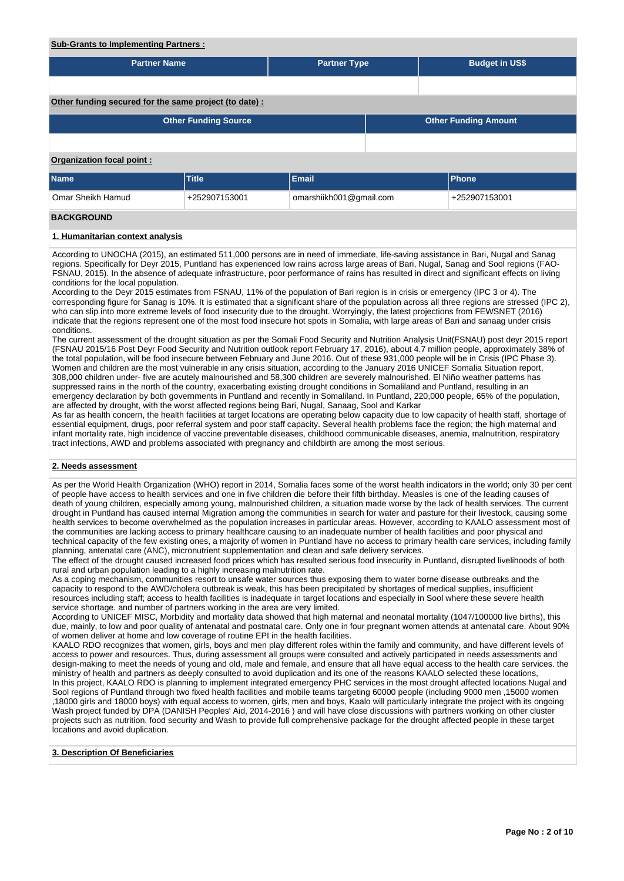#### **Sub-Grants to Implementing Partners :**

| <b>Partner Name</b>                                    |                             | <b>Partner Type</b>     |                             | <b>Budget in US\$</b> |               |  |  |  |  |
|--------------------------------------------------------|-----------------------------|-------------------------|-----------------------------|-----------------------|---------------|--|--|--|--|
|                                                        |                             |                         |                             |                       |               |  |  |  |  |
| Other funding secured for the same project (to date) : |                             |                         |                             |                       |               |  |  |  |  |
|                                                        | <b>Other Funding Source</b> |                         | <b>Other Funding Amount</b> |                       |               |  |  |  |  |
|                                                        |                             |                         |                             |                       |               |  |  |  |  |
| <b>Organization focal point:</b>                       |                             |                         |                             |                       |               |  |  |  |  |
| Name                                                   | <b>Title</b>                | Email                   |                             |                       | Phone         |  |  |  |  |
| Omar Sheikh Hamud                                      | +252907153001               | omarshiikh001@gmail.com |                             |                       | +252907153001 |  |  |  |  |
| <b>BACKGROUND</b>                                      |                             |                         |                             |                       |               |  |  |  |  |
| 1. Humanitarian context analysis                       |                             |                         |                             |                       |               |  |  |  |  |

According to UNOCHA (2015), an estimated 511,000 persons are in need of immediate, life-saving assistance in Bari, Nugal and Sanag regions. Specifically for Deyr 2015, Puntland has experienced low rains across large areas of Bari, Nugal, Sanag and Sool regions (FAO-FSNAU, 2015). In the absence of adequate infrastructure, poor performance of rains has resulted in direct and significant effects on living conditions for the local population.

According to the Deyr 2015 estimates from FSNAU, 11% of the population of Bari region is in crisis or emergency (IPC 3 or 4). The corresponding figure for Sanag is 10%. It is estimated that a significant share of the population across all three regions are stressed (IPC 2), who can slip into more extreme levels of food insecurity due to the drought. Worryingly, the latest projections from FEWSNET (2016) indicate that the regions represent one of the most food insecure hot spots in Somalia, with large areas of Bari and sanaag under crisis conditions.

The current assessment of the drought situation as per the Somali Food Security and Nutrition Analysis Unit(FSNAU) post deyr 2015 report (FSNAU 2015/16 Post Deyr Food Security and Nutrition outlook report February 17, 2016), about 4.7 million people, approximately 38% of the total population, will be food insecure between February and June 2016. Out of these 931,000 people will be in Crisis (IPC Phase 3). Women and children are the most vulnerable in any crisis situation, according to the January 2016 UNICEF Somalia Situation report, 308,000 children under- five are acutely malnourished and 58,300 children are severely malnourished. El Niño weather patterns has suppressed rains in the north of the country, exacerbating existing drought conditions in Somaliland and Puntland, resulting in an emergency declaration by both governments in Puntland and recently in Somaliland. In Puntland, 220,000 people, 65% of the population, are affected by drought, with the worst affected regions being Bari, Nugal, Sanaag, Sool and Karkar

As far as health concern, the health facilities at target locations are operating below capacity due to low capacity of health staff, shortage of essential equipment, drugs, poor referral system and poor staff capacity. Several health problems face the region; the high maternal and infant mortality rate, high incidence of vaccine preventable diseases, childhood communicable diseases, anemia, malnutrition, respiratory tract infections, AWD and problems associated with pregnancy and childbirth are among the most serious.

### **2. Needs assessment**

As per the World Health Organization (WHO) report in 2014, Somalia faces some of the worst health indicators in the world; only 30 per cent of people have access to health services and one in five children die before their fifth birthday. Measles is one of the leading causes of death of young children, especially among young, malnourished children, a situation made worse by the lack of health services. The current drought in Puntland has caused internal Migration among the communities in search for water and pasture for their livestock, causing some health services to become overwhelmed as the population increases in particular areas. However, according to KAALO assessment most of the communities are lacking access to primary healthcare causing to an inadequate number of health facilities and poor physical and technical capacity of the few existing ones, a majority of women in Puntland have no access to primary health care services, including family planning, antenatal care (ANC), micronutrient supplementation and clean and safe delivery services.

The effect of the drought caused increased food prices which has resulted serious food insecurity in Puntland, disrupted livelihoods of both rural and urban population leading to a highly increasing malnutrition rate.

As a coping mechanism, communities resort to unsafe water sources thus exposing them to water borne disease outbreaks and the capacity to respond to the AWD/cholera outbreak is weak, this has been precipitated by shortages of medical supplies, insufficient resources including staff; access to health facilities is inadequate in target locations and especially in Sool where these severe health service shortage. and number of partners working in the area are very limited.

According to UNICEF MISC, Morbidity and mortality data showed that high maternal and neonatal mortality (1047/100000 live births), this due, mainly, to low and poor quality of antenatal and postnatal care. Only one in four pregnant women attends at antenatal care. About 90% of women deliver at home and low coverage of routine EPI in the health facilities.

KAALO RDO recognizes that women, girls, boys and men play different roles within the family and community, and have different levels of access to power and resources. Thus, during assessment all groups were consulted and actively participated in needs assessments and design-making to meet the needs of young and old, male and female, and ensure that all have equal access to the health care services. the ministry of health and partners as deeply consulted to avoid duplication and its one of the reasons KAALO selected these locations, In this project, KAALO RDO is planning to implement integrated emergency PHC services in the most drought affected locations Nugal and Sool regions of Puntland through two fixed health facilities and mobile teams targeting 60000 people (including 9000 men ,15000 women ,18000 girls and 18000 boys) with equal access to women, girls, men and boys, Kaalo will particularly integrate the project with its ongoing Wash project funded by DPA (DANISH Peoples' Aid, 2014-2016) and will have close discussions with partners working on other cluster projects such as nutrition, food security and Wash to provide full comprehensive package for the drought affected people in these target locations and avoid duplication.

### **3. Description Of Beneficiaries**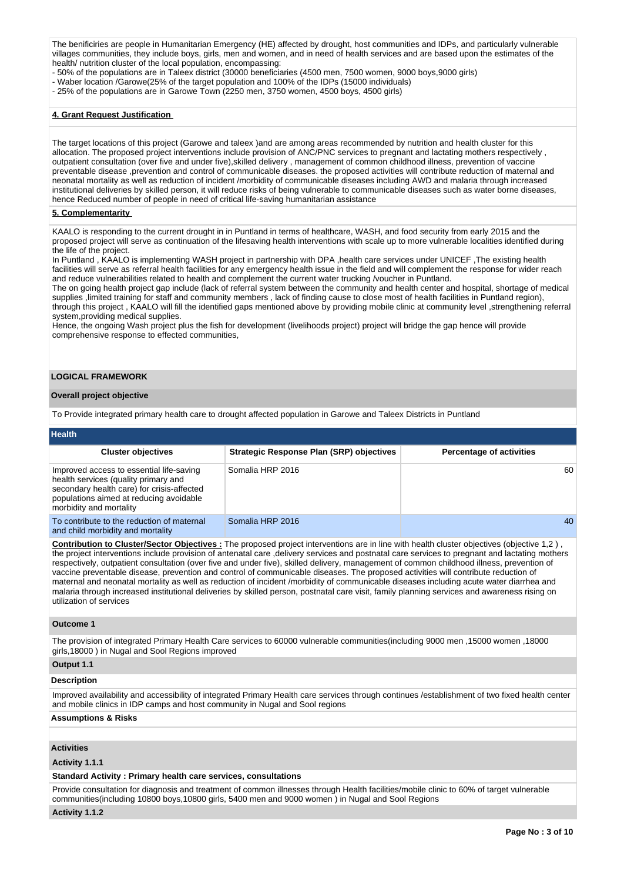The benificiries are people in Humanitarian Emergency (HE) affected by drought, host communities and IDPs, and particularly vulnerable villages communities, they include boys, girls, men and women, and in need of health services and are based upon the estimates of the health/ nutrition cluster of the local population, encompassing:

- 50% of the populations are in Taleex district (30000 beneficiaries (4500 men, 7500 women, 9000 boys,9000 girls)

- Waber location /Garowe(25% of the target population and 100% of the IDPs (15000 individuals)
- 25% of the populations are in Garowe Town (2250 men, 3750 women, 4500 boys, 4500 girls)

#### **4. Grant Request Justification**

The target locations of this project (Garowe and taleex )and are among areas recommended by nutrition and health cluster for this allocation. The proposed project interventions include provision of ANC/PNC services to pregnant and lactating mothers respectively , outpatient consultation (over five and under five),skilled delivery , management of common childhood illness, prevention of vaccine preventable disease ,prevention and control of communicable diseases. the proposed activities will contribute reduction of maternal and neonatal mortality as well as reduction of incident /morbidity of communicable diseases including AWD and malaria through increased institutional deliveries by skilled person, it will reduce risks of being vulnerable to communicable diseases such as water borne diseases, hence Reduced number of people in need of critical life-saving humanitarian assistance

#### **5. Complementarity**

KAALO is responding to the current drought in in Puntland in terms of healthcare, WASH, and food security from early 2015 and the proposed project will serve as continuation of the lifesaving health interventions with scale up to more vulnerable localities identified during the life of the project.

In Puntland , KAALO is implementing WASH project in partnership with DPA ,health care services under UNICEF ,The existing health facilities will serve as referral health facilities for any emergency health issue in the field and will complement the response for wider reach and reduce vulnerabilities related to health and complement the current water trucking /voucher in Puntland.

The on going health project gap include (lack of referral system between the community and health center and hospital, shortage of medical supplies ,limited training for staff and community members , lack of finding cause to close most of health facilities in Puntland region), through this project , KAALO will fill the identified gaps mentioned above by providing mobile clinic at community level ,strengthening referral system,providing medical supplies.

Hence, the ongoing Wash project plus the fish for development (livelihoods project) project will bridge the gap hence will provide comprehensive response to effected communities,

#### **LOGICAL FRAMEWORK**

#### **Overall project objective**

To Provide integrated primary health care to drought affected population in Garowe and Taleex Districts in Puntland

| Health                                                                                                                                                                                               |                                                 |                                 |
|------------------------------------------------------------------------------------------------------------------------------------------------------------------------------------------------------|-------------------------------------------------|---------------------------------|
| <b>Cluster objectives</b>                                                                                                                                                                            | <b>Strategic Response Plan (SRP) objectives</b> | <b>Percentage of activities</b> |
| Improved access to essential life-saving<br>health services (quality primary and<br>secondary health care) for crisis-affected<br>populations aimed at reducing avoidable<br>morbidity and mortality | Somalia HRP 2016                                | 60                              |
| To contribute to the reduction of maternal<br>and child morbidity and mortality                                                                                                                      | Somalia HRP 2016                                | 40                              |

**Contribution to Cluster/Sector Objectives :** The proposed project interventions are in line with health cluster objectives (objective 1,2 ) , the project interventions include provision of antenatal care ,delivery services and postnatal care services to pregnant and lactating mothers respectively, outpatient consultation (over five and under five), skilled delivery, management of common childhood illness, prevention of vaccine preventable disease, prevention and control of communicable diseases. The proposed activities will contribute reduction of maternal and neonatal mortality as well as reduction of incident /morbidity of communicable diseases including acute water diarrhea and malaria through increased institutional deliveries by skilled person, postnatal care visit, family planning services and awareness rising on utilization of services

#### **Outcome 1**

The provision of integrated Primary Health Care services to 60000 vulnerable communities(including 9000 men ,15000 women ,18000 girls,18000 ) in Nugal and Sool Regions improved

#### **Output 1.1**

#### **Description**

Improved availability and accessibility of integrated Primary Health care services through continues /establishment of two fixed health center and mobile clinics in IDP camps and host community in Nugal and Sool regions

#### **Assumptions & Risks**

### **Activities**

#### **Activity 1.1.1**

#### **Standard Activity : Primary health care services, consultations**

Provide consultation for diagnosis and treatment of common illnesses through Health facilities/mobile clinic to 60% of target vulnerable communities(including 10800 boys,10800 girls, 5400 men and 9000 women ) in Nugal and Sool Regions

#### **Activity 1.1.2**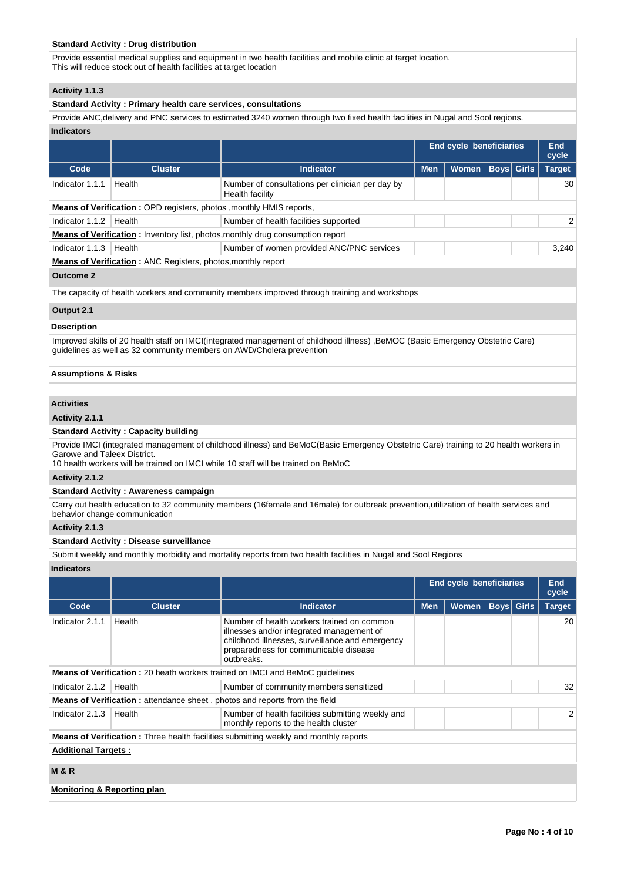### **Standard Activity : Drug distribution**

Provide essential medical supplies and equipment in two health facilities and mobile clinic at target location. This will reduce stock out of health facilities at target location

### **Activity 1.1.3**

### **Standard Activity : Primary health care services, consultations**

Provide ANC,delivery and PNC services to estimated 3240 women through two fixed health facilities in Nugal and Sool regions. **Indicators**

|                                                                     |                                                                             |                                                                                       | <b>End cycle beneficiaries</b> |              |  |            | End<br>cycle  |  |
|---------------------------------------------------------------------|-----------------------------------------------------------------------------|---------------------------------------------------------------------------------------|--------------------------------|--------------|--|------------|---------------|--|
| Code                                                                | <b>Cluster</b>                                                              | <b>Indicator</b>                                                                      | <b>Men</b>                     | <b>Women</b> |  | Boys Girls | <b>Target</b> |  |
| Indicator 1.1.1                                                     | Health                                                                      | Number of consultations per clinician per day by<br>Health facility                   |                                |              |  |            | 30            |  |
|                                                                     | <b>Means of Verification: OPD registers, photos , monthly HMIS reports,</b> |                                                                                       |                                |              |  |            |               |  |
| Indicator 1.1.2                                                     | Health                                                                      | Number of health facilities supported                                                 |                                |              |  |            | 2             |  |
|                                                                     |                                                                             | <b>Means of Verification:</b> Inventory list, photos, monthly drug consumption report |                                |              |  |            |               |  |
| Indicator 1.1.3                                                     | Health                                                                      | Number of women provided ANC/PNC services                                             |                                |              |  |            | 3.240         |  |
| <b>Means of Verification:</b> ANC Registers, photos, monthly report |                                                                             |                                                                                       |                                |              |  |            |               |  |
|                                                                     |                                                                             |                                                                                       |                                |              |  |            |               |  |

### **Outcome 2**

The capacity of health workers and community members improved through training and workshops

# **Output 2.1**

### **Description**

Improved skills of 20 health staff on IMCI(integrated management of childhood illness) ,BeMOC (Basic Emergency Obstetric Care) guidelines as well as 32 community members on AWD/Cholera prevention

### **Assumptions & Risks**

### **Activities**

### **Activity 2.1.1**

#### **Standard Activity : Capacity building**

Provide IMCI (integrated management of childhood illness) and BeMoC(Basic Emergency Obstetric Care) training to 20 health workers in Garowe and Taleex District.

10 health workers will be trained on IMCI while 10 staff will be trained on BeMoC

**Activity 2.1.2** 

#### **Standard Activity : Awareness campaign**

Carry out health education to 32 community members (16female and 16male) for outbreak prevention,utilization of health services and behavior change communication

### **Activity 2.1.3**

### **Standard Activity : Disease surveillance**

Submit weekly and monthly morbidity and mortality reports from two health facilities in Nugal and Sool Regions

#### **Indicators**

|                             |                |                                                                                                                                                                                                   | End cycle beneficiaries |              |                   | End<br>cycle  |    |  |
|-----------------------------|----------------|---------------------------------------------------------------------------------------------------------------------------------------------------------------------------------------------------|-------------------------|--------------|-------------------|---------------|----|--|
| Code                        | <b>Cluster</b> | <b>Indicator</b>                                                                                                                                                                                  | <b>Men</b>              | <b>Women</b> | <b>Boys</b> Girls | <b>Target</b> |    |  |
| Indicator 2.1.1             | Health         | Number of health workers trained on common<br>illnesses and/or integrated management of<br>childhood illnesses, surveillance and emergency<br>preparedness for communicable disease<br>outbreaks. |                         |              |                   |               | 20 |  |
|                             |                | <b>Means of Verification: 20 heath workers trained on IMCI and BeMoC guidelines</b>                                                                                                               |                         |              |                   |               |    |  |
| Indicator 2.1.2             | Health         | Number of community members sensitized                                                                                                                                                            |                         |              |                   |               | 32 |  |
|                             |                | <b>Means of Verification:</b> attendance sheet, photos and reports from the field                                                                                                                 |                         |              |                   |               |    |  |
| Indicator 2.1.3             | Health         | Number of health facilities submitting weekly and<br>monthly reports to the health cluster                                                                                                        |                         |              |                   |               | 2  |  |
|                             |                | <b>Means of Verification:</b> Three health facilities submitting weekly and monthly reports                                                                                                       |                         |              |                   |               |    |  |
| <b>Additional Targets:</b>  |                |                                                                                                                                                                                                   |                         |              |                   |               |    |  |
| <b>M&amp;R</b>              |                |                                                                                                                                                                                                   |                         |              |                   |               |    |  |
| Monitoring & Reporting plan |                |                                                                                                                                                                                                   |                         |              |                   |               |    |  |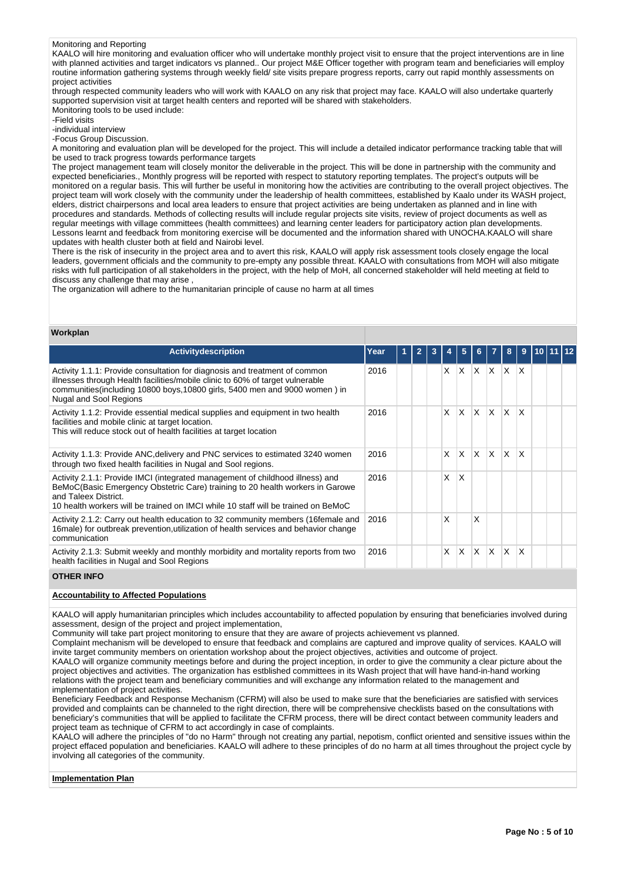#### Monitoring and Reporting

KAALO will hire monitoring and evaluation officer who will undertake monthly project visit to ensure that the project interventions are in line with planned activities and target indicators vs planned.. Our project M&E Officer together with program team and beneficiaries will employ routine information gathering systems through weekly field/ site visits prepare progress reports, carry out rapid monthly assessments on project activities

through respected community leaders who will work with KAALO on any risk that project may face. KAALO will also undertake quarterly supported supervision visit at target health centers and reported will be shared with stakeholders. Monitoring tools to be used include:

-Field visits

-individual interview

-Focus Group Discussion.

A monitoring and evaluation plan will be developed for the project. This will include a detailed indicator performance tracking table that will be used to track progress towards performance targets

The project management team will closely monitor the deliverable in the project. This will be done in partnership with the community and expected beneficiaries., Monthly progress will be reported with respect to statutory reporting templates. The project's outputs will be monitored on a regular basis. This will further be useful in monitoring how the activities are contributing to the overall project objectives. The project team will work closely with the community under the leadership of health committees, established by Kaalo under its WASH project, elders, district chairpersons and local area leaders to ensure that project activities are being undertaken as planned and in line with procedures and standards. Methods of collecting results will include regular projects site visits, review of project documents as well as regular meetings with village committees (health committees) and learning center leaders for participatory action plan developments. Lessons learnt and feedback from monitoring exercise will be documented and the information shared with UNOCHA.KAALO will share updates with health cluster both at field and Nairobi level.

There is the risk of insecurity in the project area and to avert this risk, KAALO will apply risk assessment tools closely engage the local leaders, government officials and the community to pre-empty any possible threat. KAALO with consultations from MOH will also mitigate risks with full participation of all stakeholders in the project, with the help of MoH, all concerned stakeholder will held meeting at field to discuss any challenge that may arise ,

The organization will adhere to the humanitarian principle of cause no harm at all times

### **Workplan**

| <b>Activity description</b>                                                                                                                                                                                                                                                 | Year | 2 |   | 5            | 6.           |              | 8                       | 9            |  |  |
|-----------------------------------------------------------------------------------------------------------------------------------------------------------------------------------------------------------------------------------------------------------------------------|------|---|---|--------------|--------------|--------------|-------------------------|--------------|--|--|
| Activity 1.1.1: Provide consultation for diagnosis and treatment of common<br>illnesses through Health facilities/mobile clinic to 60% of target vulnerable<br>communities(including 10800 boys, 10800 girls, 5400 men and 9000 women) in<br>Nugal and Sool Regions         | 2016 |   | X | X.           | ΙX.          | $X \times X$ |                         |              |  |  |
| Activity 1.1.2: Provide essential medical supplies and equipment in two health<br>facilities and mobile clinic at target location.<br>This will reduce stock out of health facilities at target location                                                                    | 2016 |   | X | $\mathsf{x}$ | <sup>X</sup> | ΙX.          | $\mathsf{I} \mathsf{X}$ | $\mathsf{X}$ |  |  |
| Activity 1.1.3: Provide ANC, delivery and PNC services to estimated 3240 women<br>through two fixed health facilities in Nugal and Sool regions.                                                                                                                            | 2016 |   | X | $\mathsf{x}$ | $\mathsf{X}$ | $\mathsf{X}$ | $\mathsf{I} \mathsf{X}$ | $\mathsf{X}$ |  |  |
| Activity 2.1.1: Provide IMCI (integrated management of childhood illness) and<br>BeMoC(Basic Emergency Obstetric Care) training to 20 health workers in Garowe<br>and Taleex District.<br>10 health workers will be trained on IMCI while 10 staff will be trained on BeMoC | 2016 |   | X | $\times$     |              |              |                         |              |  |  |
| Activity 2.1.2: Carry out health education to 32 community members (16 female and<br>16male) for outbreak prevention, utilization of health services and behavior change<br>communication                                                                                   | 2016 |   | X |              | X            |              |                         |              |  |  |
| Activity 2.1.3: Submit weekly and monthly morbidity and mortality reports from two<br>health facilities in Nugal and Sool Regions                                                                                                                                           | 2016 |   | X | $\mathsf{x}$ | ΙX.          | $\mathsf{X}$ | $\mathsf{I} \mathsf{X}$ | $\mathsf{X}$ |  |  |

### **OTHER INFO**

### **Accountability to Affected Populations**

KAALO will apply humanitarian principles which includes accountability to affected population by ensuring that beneficiaries involved during assessment, design of the project and project implementation,

Community will take part project monitoring to ensure that they are aware of projects achievement vs planned.

Complaint mechanism will be developed to ensure that feedback and complains are captured and improve quality of services. KAALO will invite target community members on orientation workshop about the project objectives, activities and outcome of project.

KAALO will organize community meetings before and during the project inception, in order to give the community a clear picture about the project objectives and activities. The organization has estblished committees in its Wash project that will have hand-in-hand working relations with the project team and beneficiary communities and will exchange any information related to the management and implementation of project activities.

Beneficiary Feedback and Response Mechanism (CFRM) will also be used to make sure that the beneficiaries are satisfied with services provided and complaints can be channeled to the right direction, there will be comprehensive checklists based on the consultations with beneficiary's communities that will be applied to facilitate the CFRM process, there will be direct contact between community leaders and project team as technique of CFRM to act accordingly in case of complaints.

KAALO will adhere the principles of "do no Harm" through not creating any partial, nepotism, conflict oriented and sensitive issues within the project effaced population and beneficiaries. KAALO will adhere to these principles of do no harm at all times throughout the project cycle by involving all categories of the community.

#### **Implementation Plan**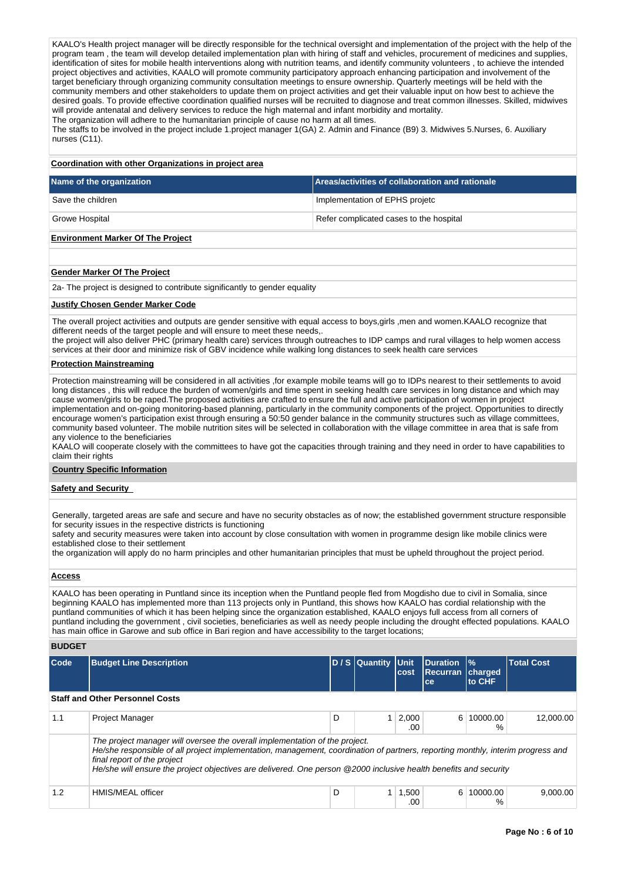KAALO's Health project manager will be directly responsible for the technical oversight and implementation of the project with the help of the program team , the team will develop detailed implementation plan with hiring of staff and vehicles, procurement of medicines and supplies, identification of sites for mobile health interventions along with nutrition teams, and identify community volunteers , to achieve the intended project objectives and activities, KAALO will promote community participatory approach enhancing participation and involvement of the target beneficiary through organizing community consultation meetings to ensure ownership. Quarterly meetings will be held with the community members and other stakeholders to update them on project activities and get their valuable input on how best to achieve the desired goals. To provide effective coordination qualified nurses will be recruited to diagnose and treat common illnesses. Skilled, midwives will provide antenatal and delivery services to reduce the high maternal and infant morbidity and mortality.

The organization will adhere to the humanitarian principle of cause no harm at all times.

The staffs to be involved in the project include 1.project manager 1(GA) 2. Admin and Finance (B9) 3. Midwives 5.Nurses, 6. Auxiliary nurses (C11).

## **Coordination with other Organizations in project area**

| Name of the organization          | Areas/activities of collaboration and rationale |
|-----------------------------------|-------------------------------------------------|
| Save the children                 | Implementation of EPHS projetc                  |
| <b>Growe Hospital</b>             | Refer complicated cases to the hospital         |
| Environment Marker Of The Draiget |                                                 |

# **Environment Marker Of The Project**

## **Gender Marker Of The Project**

2a- The project is designed to contribute significantly to gender equality

## **Justify Chosen Gender Marker Code**

The overall project activities and outputs are gender sensitive with equal access to boys,girls ,men and women.KAALO recognize that different needs of the target people and will ensure to meet these needs,.

the project will also deliver PHC (primary health care) services through outreaches to IDP camps and rural villages to help women access services at their door and minimize risk of GBV incidence while walking long distances to seek health care services

#### **Protection Mainstreaming**

Protection mainstreaming will be considered in all activities ,for example mobile teams will go to IDPs nearest to their settlements to avoid long distances , this will reduce the burden of women/girls and time spent in seeking health care services in long distance and which may cause women/girls to be raped.The proposed activities are crafted to ensure the full and active participation of women in project implementation and on-going monitoring-based planning, particularly in the community components of the project. Opportunities to directly encourage women's participation exist through ensuring a 50:50 gender balance in the community structures such as village committees, community based volunteer. The mobile nutrition sites will be selected in collaboration with the village committee in area that is safe from any violence to the beneficiaries

KAALO will cooperate closely with the committees to have got the capacities through training and they need in order to have capabilities to claim their rights

#### **Country Specific Information**

#### **Safety and Security**

Generally, targeted areas are safe and secure and have no security obstacles as of now; the established government structure responsible for security issues in the respective districts is functioning

safety and security measures were taken into account by close consultation with women in programme design like mobile clinics were established close to their settlement

the organization will apply do no harm principles and other humanitarian principles that must be upheld throughout the project period.

#### **Access**

KAALO has been operating in Puntland since its inception when the Puntland people fled from Mogdisho due to civil in Somalia, since beginning KAALO has implemented more than 113 projects only in Puntland, this shows how KAALO has cordial relationship with the puntland communities of which it has been helping since the organization established, KAALO enjoys full access from all corners of puntland including the government , civil societies, beneficiaries as well as needy people including the drought effected populations. KAALO has main office in Garowe and sub office in Bari region and have accessibility to the target locations;

# **BUDGET**

| Code | <b>Budget Line Description</b>                                                                             |                                                                                                                                                                                                                                                     | D / S Quantity Unit | <b>cost</b>  | <b>Duration</b><br><b>Recurran Charged</b><br>ce | $\frac{9}{6}$<br>to CHF | <b>Total Cost</b> |
|------|------------------------------------------------------------------------------------------------------------|-----------------------------------------------------------------------------------------------------------------------------------------------------------------------------------------------------------------------------------------------------|---------------------|--------------|--------------------------------------------------|-------------------------|-------------------|
|      | <b>Staff and Other Personnel Costs</b>                                                                     |                                                                                                                                                                                                                                                     |                     |              |                                                  |                         |                   |
| 1.1  | <b>Project Manager</b>                                                                                     | D                                                                                                                                                                                                                                                   |                     | 2,000<br>.00 | 6                                                | 10000.00<br>%           | 12,000.00         |
|      | The project manager will oversee the overall implementation of the project.<br>final report of the project | He/she responsible of all project implementation, management, coordination of partners, reporting monthly, interim progress and<br>He/she will ensure the project objectives are delivered. One person @2000 inclusive health benefits and security |                     |              |                                                  |                         |                   |
| 1.2  | HMIS/MEAL officer                                                                                          | D                                                                                                                                                                                                                                                   |                     | 1,500<br>.00 | 6                                                | 10000.00<br>%           | 9.000.00          |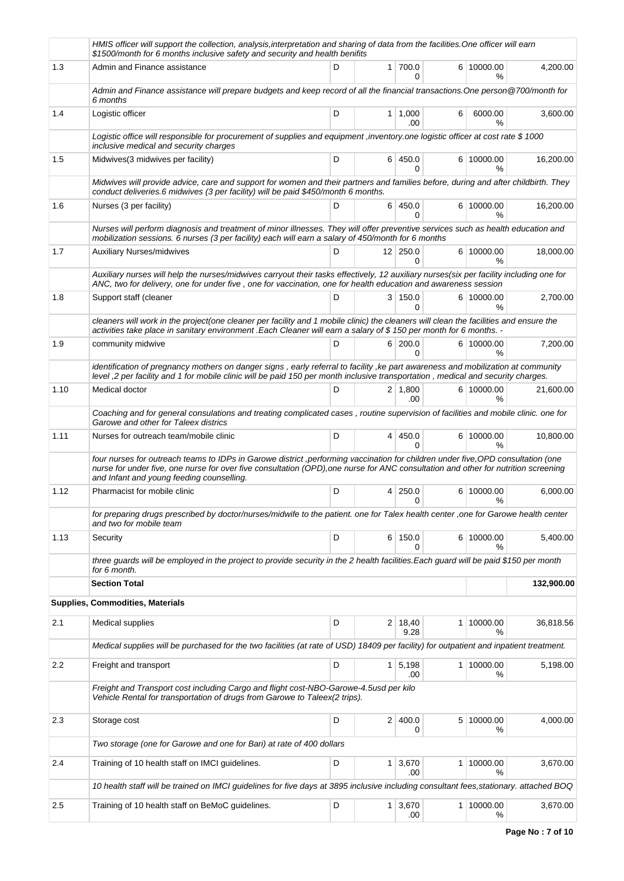|      | HMIS officer will support the collection, analysis,interpretation and sharing of data from the facilities.One officer will earn<br>\$1500/month for 6 months inclusive safety and security and health benifits                                                                                                       |   |                |                                 |   |                             |            |
|------|----------------------------------------------------------------------------------------------------------------------------------------------------------------------------------------------------------------------------------------------------------------------------------------------------------------------|---|----------------|---------------------------------|---|-----------------------------|------------|
| 1.3  | Admin and Finance assistance                                                                                                                                                                                                                                                                                         | D |                | 1 700.0<br>0                    |   | 6 10000.00<br>$\%$          | 4,200.00   |
|      | Admin and Finance assistance will prepare budgets and keep record of all the financial transactions. One person@700/month for<br>6 months                                                                                                                                                                            |   |                |                                 |   |                             |            |
| 1.4  | Logistic officer                                                                                                                                                                                                                                                                                                     | D |                | $1 \mid 1,000$<br>.00           | 6 | 6000.00<br>$\%$             | 3,600.00   |
|      | Logistic office will responsible for procurement of supplies and equipment , inventory one logistic officer at cost rate \$1000<br>inclusive medical and security charges                                                                                                                                            |   |                |                                 |   |                             |            |
| 1.5  | Midwives (3 midwives per facility)                                                                                                                                                                                                                                                                                   | D |                | 6 450.0<br>0                    |   | 6 10000.00<br>℅             | 16,200.00  |
|      | Midwives will provide advice, care and support for women and their partners and families before, during and after childbirth. They<br>conduct deliveries.6 midwives (3 per facility) will be paid \$450/month 6 months.                                                                                              |   |                |                                 |   |                             |            |
| 1.6  | Nurses (3 per facility)                                                                                                                                                                                                                                                                                              | D |                | 6 450.0<br>0                    |   | 6 10000.00<br>$\%$          | 16,200.00  |
|      | Nurses will perform diagnosis and treatment of minor illnesses. They will offer preventive services such as health education and<br>mobilization sessions. 6 nurses (3 per facility) each will earn a salary of 450/month for 6 months                                                                               |   |                |                                 |   |                             |            |
| 1.7  | <b>Auxiliary Nurses/midwives</b>                                                                                                                                                                                                                                                                                     | D |                | $12 \mid 250.0$<br><sup>0</sup> |   | 6 10000.00<br>$\frac{9}{6}$ | 18,000.00  |
|      | Auxiliary nurses will help the nurses/midwives carryout their tasks effectively, 12 auxiliary nurses(six per facility including one for<br>ANC, two for delivery, one for under five, one for vaccination, one for health education and awareness session                                                            |   |                |                                 |   |                             |            |
| 1.8  | Support staff (cleaner                                                                                                                                                                                                                                                                                               | D |                | 3 150.0<br>0                    |   | 6 10000.00<br>℅             | 2,700.00   |
|      | cleaners will work in the project(one cleaner per facility and 1 mobile clinic) the cleaners will clean the facilities and ensure the<br>activities take place in sanitary environment .Each Cleaner will earn a salary of \$150 per month for 6 months. -                                                           |   |                |                                 |   |                             |            |
| 1.9  | community midwive                                                                                                                                                                                                                                                                                                    | D |                | 6 200.0<br>$\Omega$             |   | 6 10000.00<br>$\%$          | 7,200.00   |
|      | identification of pregnancy mothers on danger signs, early referral to facility, ke part awareness and mobilization at community<br>level, 2 per facility and 1 for mobile clinic will be paid 150 per month inclusive transportation, medical and security charges.                                                 |   |                |                                 |   |                             |            |
| 1.10 | Medical doctor                                                                                                                                                                                                                                                                                                       | D |                | $2 \mid 1,800$<br>.00           |   | 6 10000.00<br>$\frac{9}{6}$ | 21,600.00  |
|      | Coaching and for general consulations and treating complicated cases, routine supervision of facilities and mobile clinic. one for<br>Garowe and other for Taleex districs                                                                                                                                           |   |                |                                 |   |                             |            |
| 1.11 | Nurses for outreach team/mobile clinic                                                                                                                                                                                                                                                                               | D | $\overline{4}$ | 450.0<br>0                      |   | 6 10000.00<br>%             | 10,800.00  |
|      | four nurses for outreach teams to IDPs in Garowe district , performing vaccination for children under five, OPD consultation (one<br>nurse for under five, one nurse for over five consultation (OPD), one nurse for ANC consultation and other for nutrition screening<br>and Infant and young feeding counselling. |   |                |                                 |   |                             |            |
| 1.12 | Pharmacist for mobile clinic                                                                                                                                                                                                                                                                                         | D | 4              | 250.0<br>0                      |   | 6 10000.00<br>℅             | 6,000.00   |
|      | for preparing drugs prescribed by doctor/nurses/midwife to the patient. one for Talex health center, one for Garowe health center<br>and two for mobile team                                                                                                                                                         |   |                |                                 |   |                             |            |
| 1.13 | Security                                                                                                                                                                                                                                                                                                             | D |                | 6 150.0<br>0                    |   | 6 10000.00<br>$\%$          | 5,400.00   |
|      | three quards will be employed in the project to provide security in the 2 health facilities. Each quard will be paid \$150 per month<br>for 6 month.                                                                                                                                                                 |   |                |                                 |   |                             |            |
|      | <b>Section Total</b>                                                                                                                                                                                                                                                                                                 |   |                |                                 |   |                             | 132,900.00 |
|      | Supplies, Commodities, Materials                                                                                                                                                                                                                                                                                     |   |                |                                 |   |                             |            |
| 2.1  | Medical supplies                                                                                                                                                                                                                                                                                                     | D | 2 <sup>1</sup> | 18,40<br>9.28                   |   | 1 10000.00<br>%             | 36,818.56  |
|      | Medical supplies will be purchased for the two facilities (at rate of USD) 18409 per facility) for outpatient and inpatient treatment.                                                                                                                                                                               |   |                |                                 |   |                             |            |
| 2.2  | Freight and transport                                                                                                                                                                                                                                                                                                | D |                | $1 \quad 5,198$<br>.00          |   | 1 10000.00<br>%             | 5,198.00   |
|      | Freight and Transport cost including Cargo and flight cost-NBO-Garowe-4.5usd per kilo<br>Vehicle Rental for transportation of drugs from Garowe to Taleex(2 trips).                                                                                                                                                  |   |                |                                 |   |                             |            |
| 2.3  | Storage cost                                                                                                                                                                                                                                                                                                         | D |                | 2 400.0<br>0                    |   | 5 10000.00<br>%             | 4,000.00   |
|      | Two storage (one for Garowe and one for Bari) at rate of 400 dollars                                                                                                                                                                                                                                                 |   |                |                                 |   |                             |            |
| 2.4  | Training of 10 health staff on IMCI guidelines.                                                                                                                                                                                                                                                                      | D | 1 <sup>1</sup> | 3,670<br>.00                    |   | 1 10000.00<br>$\%$          | 3,670.00   |
|      | 10 health staff will be trained on IMCI guidelines for five days at 3895 inclusive including consultant fees, stationary. attached BOQ                                                                                                                                                                               |   |                |                                 |   |                             |            |
| 2.5  | Training of 10 health staff on BeMoC guidelines.                                                                                                                                                                                                                                                                     | D |                | $1 \mid 3,670$<br>.00           |   | 1 10000.00<br>%             | 3,670.00   |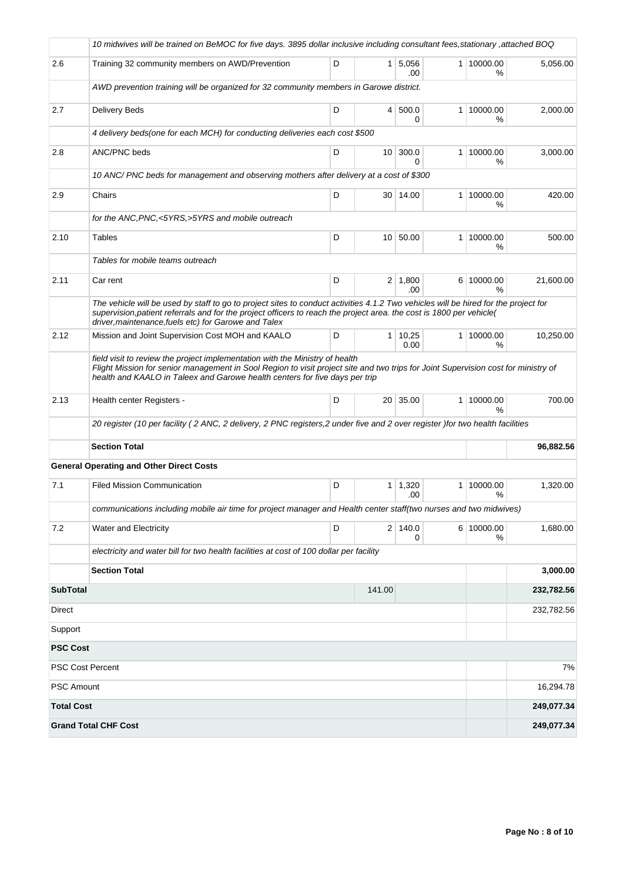|                         | 10 nidwives will be trained on BeMOC for five days. 3895 dollar inclusive including consultant fees stationary attached BOQ                                                                                                                                                                                         |   |                 |                        |                             |            |
|-------------------------|---------------------------------------------------------------------------------------------------------------------------------------------------------------------------------------------------------------------------------------------------------------------------------------------------------------------|---|-----------------|------------------------|-----------------------------|------------|
| 2.6                     | Training 32 community members on AWD/Prevention                                                                                                                                                                                                                                                                     | D |                 | 1 5,056<br>.00         | 1 10000.00<br>%             | 5,056.00   |
|                         | AWD prevention training will be organized for 32 community members in Garowe district.                                                                                                                                                                                                                              |   |                 |                        |                             |            |
| 2.7                     | Delivery Beds                                                                                                                                                                                                                                                                                                       | D | 4 <sup>1</sup>  | 500.0<br>$\Omega$      | 1 10000.00<br>℅             | 2,000.00   |
|                         | 4 delivery beds(one for each MCH) for conducting deliveries each cost \$500                                                                                                                                                                                                                                         |   |                 |                        |                             |            |
| 2.8                     | <b>ANC/PNC</b> beds                                                                                                                                                                                                                                                                                                 | D | 10 <sup>1</sup> | 300.0<br>$\Omega$      | 1 10000.00<br>%             | 3,000.00   |
|                         | 10 ANC/PNC beds for management and observing mothers after delivery at a cost of \$300                                                                                                                                                                                                                              |   |                 |                        |                             |            |
| 2.9                     | Chairs                                                                                                                                                                                                                                                                                                              | D |                 | 30 14.00               | 1 10000.00<br>%             | 420.00     |
|                         | for the ANC, PNC, <5YRS, >5YRS and mobile outreach                                                                                                                                                                                                                                                                  |   |                 |                        |                             |            |
| 2.10                    | <b>Tables</b>                                                                                                                                                                                                                                                                                                       | D |                 | 10 50.00               | 1 10000.00<br>%             | 500.00     |
|                         | Tables for mobile teams outreach                                                                                                                                                                                                                                                                                    |   |                 |                        |                             |            |
| 2.11                    | Car rent                                                                                                                                                                                                                                                                                                            | D |                 | $2 \mid 1,800$<br>.00  | 6 10000.00<br>%             | 21,600.00  |
|                         | The vehicle will be used by staff to go to project sites to conduct activities 4.1.2 Two vehicles will be hired for the project for<br>supervision, patient referrals and for the project officers to reach the project area. the cost is 1800 per vehicle(<br>driver, maintenance, fuels etc) for Garowe and Talex |   |                 |                        |                             |            |
| 2.12                    | Mission and Joint Supervision Cost MOH and KAALO                                                                                                                                                                                                                                                                    | D |                 | $1 \mid 10,25$<br>0.00 | 1 10000.00<br>%             | 10,250.00  |
|                         | field visit to review the project implementation with the Ministry of health<br>Flight Mission for senior management in Sool Region to visit project site and two trips for Joint Supervision cost for ministry of<br>health and KAALO in Taleex and Garowe health centers for five days per trip                   |   |                 |                        |                             |            |
| 2.13                    | Health center Registers -                                                                                                                                                                                                                                                                                           | D |                 | 20 35.00               | 1 10000.00<br>$\frac{9}{6}$ | 700.00     |
|                         | 20 register (10 per facility (2 ANC, 2 delivery, 2 PNC registers,2 under five and 2 over register )for two health facilities                                                                                                                                                                                        |   |                 |                        |                             |            |
|                         | <b>Section Total</b>                                                                                                                                                                                                                                                                                                |   |                 |                        |                             | 96,882.56  |
|                         | <b>General Operating and Other Direct Costs</b>                                                                                                                                                                                                                                                                     |   |                 |                        |                             |            |
| 7.1                     | <b>Filed Mission Communication</b>                                                                                                                                                                                                                                                                                  | D | 1 <sup>1</sup>  | 1,320<br>.00           | 1   10000.00<br>%           | 1,320.00   |
|                         | communications including mobile air time for project manager and Health center staff (two nurses and two midwives)                                                                                                                                                                                                  |   |                 |                        |                             |            |
| 7.2                     | Water and Electricity                                                                                                                                                                                                                                                                                               | D |                 | 2 140.0<br>0           | 6 10000.00<br>%             | 1,680.00   |
|                         | electricity and water bill for two health facilities at cost of 100 dollar per facility                                                                                                                                                                                                                             |   |                 |                        |                             |            |
|                         | <b>Section Total</b>                                                                                                                                                                                                                                                                                                |   |                 |                        |                             | 3,000.00   |
| <b>SubTotal</b>         |                                                                                                                                                                                                                                                                                                                     |   | 141.00          |                        |                             | 232,782.56 |
| <b>Direct</b>           |                                                                                                                                                                                                                                                                                                                     |   |                 |                        |                             | 232,782.56 |
| Support                 |                                                                                                                                                                                                                                                                                                                     |   |                 |                        |                             |            |
| <b>PSC Cost</b>         |                                                                                                                                                                                                                                                                                                                     |   |                 |                        |                             |            |
| <b>PSC Cost Percent</b> |                                                                                                                                                                                                                                                                                                                     |   |                 |                        |                             | 7%         |
| PSC Amount              |                                                                                                                                                                                                                                                                                                                     |   |                 |                        |                             | 16,294.78  |
| <b>Total Cost</b>       |                                                                                                                                                                                                                                                                                                                     |   |                 |                        |                             | 249,077.34 |
|                         | <b>Grand Total CHF Cost</b>                                                                                                                                                                                                                                                                                         |   |                 |                        |                             | 249,077.34 |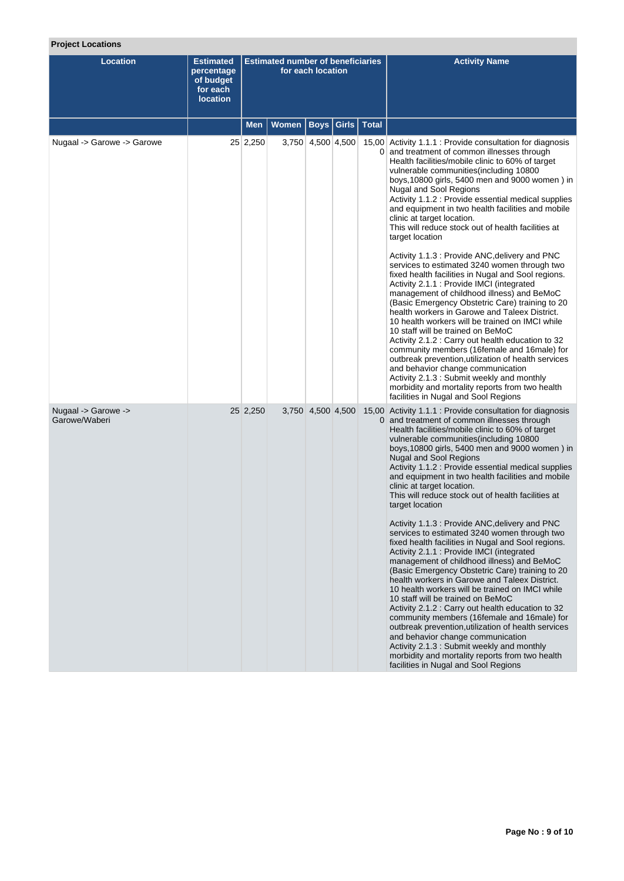# **Project Locations**

| <b>Location</b>                      | <b>Estimated</b><br>percentage<br>of budget<br>for each<br><b>location</b> | <b>Estimated number of beneficiaries</b><br>for each location |              |                   |       |              | <b>Activity Name</b>                                                                                                                                                                                                                                                                                                                                                                                                                                                                                                                                                                                                                                                                                                                                                                                                                                                                                                                                                                                                                                                                                                                                                                                                                                                                                 |
|--------------------------------------|----------------------------------------------------------------------------|---------------------------------------------------------------|--------------|-------------------|-------|--------------|------------------------------------------------------------------------------------------------------------------------------------------------------------------------------------------------------------------------------------------------------------------------------------------------------------------------------------------------------------------------------------------------------------------------------------------------------------------------------------------------------------------------------------------------------------------------------------------------------------------------------------------------------------------------------------------------------------------------------------------------------------------------------------------------------------------------------------------------------------------------------------------------------------------------------------------------------------------------------------------------------------------------------------------------------------------------------------------------------------------------------------------------------------------------------------------------------------------------------------------------------------------------------------------------------|
|                                      |                                                                            | Men                                                           | <b>Women</b> | <b>Boys</b>       | Girls | <b>Total</b> |                                                                                                                                                                                                                                                                                                                                                                                                                                                                                                                                                                                                                                                                                                                                                                                                                                                                                                                                                                                                                                                                                                                                                                                                                                                                                                      |
| Nugaal -> Garowe -> Garowe           |                                                                            | 25 2,250                                                      |              | 3,750 4,500 4,500 |       |              | 15,00 Activity 1.1.1 : Provide consultation for diagnosis<br>0 and treatment of common illnesses through<br>Health facilities/mobile clinic to 60% of target<br>vulnerable communities (including 10800<br>boys, 10800 girls, 5400 men and 9000 women) in<br>Nugal and Sool Regions<br>Activity 1.1.2 : Provide essential medical supplies<br>and equipment in two health facilities and mobile<br>clinic at target location.<br>This will reduce stock out of health facilities at<br>target location<br>Activity 1.1.3 : Provide ANC, delivery and PNC<br>services to estimated 3240 women through two<br>fixed health facilities in Nugal and Sool regions.<br>Activity 2.1.1 : Provide IMCI (integrated<br>management of childhood illness) and BeMoC<br>(Basic Emergency Obstetric Care) training to 20<br>health workers in Garowe and Taleex District.<br>10 health workers will be trained on IMCI while<br>10 staff will be trained on BeMoC<br>Activity 2.1.2 : Carry out health education to 32<br>community members (16female and 16male) for<br>outbreak prevention, utilization of health services<br>and behavior change communication<br>Activity 2.1.3 : Submit weekly and monthly<br>morbidity and mortality reports from two health<br>facilities in Nugal and Sool Regions       |
| Nugaal -> Garowe -><br>Garowe/Waberi |                                                                            | 25 2,250                                                      |              | 3,750 4,500 4,500 |       |              | 15,00 Activity 1.1.1 : Provide consultation for diagnosis<br>0 and treatment of common illnesses through<br>Health facilities/mobile clinic to 60% of target<br>vulnerable communities (including 10800<br>boys, 10800 girls, 5400 men and 9000 women) in<br><b>Nugal and Sool Regions</b><br>Activity 1.1.2 : Provide essential medical supplies<br>and equipment in two health facilities and mobile<br>clinic at target location.<br>This will reduce stock out of health facilities at<br>target location<br>Activity 1.1.3 : Provide ANC, delivery and PNC<br>services to estimated 3240 women through two<br>fixed health facilities in Nugal and Sool regions.<br>Activity 2.1.1 : Provide IMCI (integrated<br>management of childhood illness) and BeMoC<br>(Basic Emergency Obstetric Care) training to 20<br>health workers in Garowe and Taleex District.<br>10 health workers will be trained on IMCI while<br>10 staff will be trained on BeMoC<br>Activity 2.1.2 : Carry out health education to 32<br>community members (16female and 16male) for<br>outbreak prevention, utilization of health services<br>and behavior change communication<br>Activity 2.1.3: Submit weekly and monthly<br>morbidity and mortality reports from two health<br>facilities in Nugal and Sool Regions |